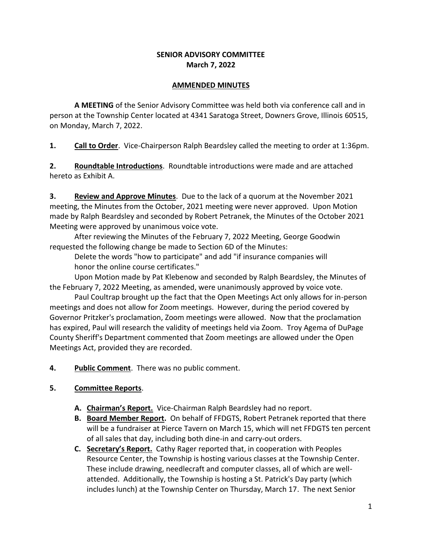## **SENIOR ADVISORY COMMITTEE March 7, 2022**

#### **AMMENDED MINUTES**

**A MEETING** of the Senior Advisory Committee was held both via conference call and in person at the Township Center located at 4341 Saratoga Street, Downers Grove, Illinois 60515, on Monday, March 7, 2022.

**1. Call to Order**. Vice-Chairperson Ralph Beardsley called the meeting to order at 1:36pm.

**2. Roundtable Introductions**. Roundtable introductions were made and are attached hereto as Exhibit A.

**3. Review and Approve Minutes**. Due to the lack of a quorum at the November 2021 meeting, the Minutes from the October, 2021 meeting were never approved. Upon Motion made by Ralph Beardsley and seconded by Robert Petranek, the Minutes of the October 2021 Meeting were approved by unanimous voice vote.

After reviewing the Minutes of the February 7, 2022 Meeting, George Goodwin requested the following change be made to Section 6D of the Minutes:

Delete the words "how to participate" and add "if insurance companies will honor the online course certificates."

Upon Motion made by Pat Klebenow and seconded by Ralph Beardsley, the Minutes of the February 7, 2022 Meeting, as amended, were unanimously approved by voice vote.

Paul Coultrap brought up the fact that the Open Meetings Act only allows for in-person meetings and does not allow for Zoom meetings. However, during the period covered by Governor Pritzker's proclamation, Zoom meetings were allowed. Now that the proclamation has expired, Paul will research the validity of meetings held via Zoom. Troy Agema of DuPage County Sheriff's Department commented that Zoom meetings are allowed under the Open Meetings Act, provided they are recorded.

- **4. Public Comment**. There was no public comment.
- **5. Committee Reports**.
	- **A. Chairman's Report.** Vice-Chairman Ralph Beardsley had no report.
	- **B. Board Member Report.** On behalf of FFDGTS, Robert Petranek reported that there will be a fundraiser at Pierce Tavern on March 15, which will net FFDGTS ten percent of all sales that day, including both dine-in and carry-out orders.
	- **C. Secretary's Report.** Cathy Rager reported that, in cooperation with Peoples Resource Center, the Township is hosting various classes at the Township Center. These include drawing, needlecraft and computer classes, all of which are wellattended. Additionally, the Township is hosting a St. Patrick's Day party (which includes lunch) at the Township Center on Thursday, March 17. The next Senior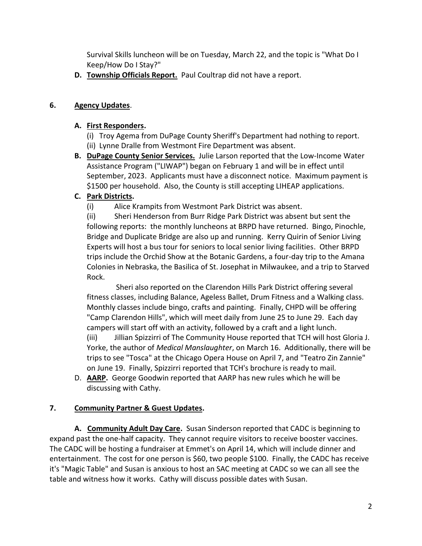Survival Skills luncheon will be on Tuesday, March 22, and the topic is "What Do I Keep/How Do I Stay?"

**D. Township Officials Report.** Paul Coultrap did not have a report.

## **6. Agency Updates**.

## **A. First Responders.**

- (i) Troy Agema from DuPage County Sheriff's Department had nothing to report. (ii) Lynne Dralle from Westmont Fire Department was absent.
- **B. DuPage County Senior Services.** Julie Larson reported that the Low-Income Water Assistance Program ("LIWAP") began on February 1 and will be in effect until September, 2023. Applicants must have a disconnect notice. Maximum payment is \$1500 per household. Also, the County is still accepting LIHEAP applications.

## **C. Park Districts.**

(i) Alice Krampits from Westmont Park District was absent.

(ii) Sheri Henderson from Burr Ridge Park District was absent but sent the following reports: the monthly luncheons at BRPD have returned. Bingo, Pinochle, Bridge and Duplicate Bridge are also up and running. Kerry Quirin of Senior Living Experts will host a bus tour for seniors to local senior living facilities. Other BRPD trips include the Orchid Show at the Botanic Gardens, a four-day trip to the Amana Colonies in Nebraska, the Basilica of St. Josephat in Milwaukee, and a trip to Starved Rock.

 Sheri also reported on the Clarendon Hills Park District offering several fitness classes, including Balance, Ageless Ballet, Drum Fitness and a Walking class. Monthly classes include bingo, crafts and painting. Finally, CHPD will be offering "Camp Clarendon Hills", which will meet daily from June 25 to June 29. Each day campers will start off with an activity, followed by a craft and a light lunch. (iii) Jillian Spizzirri of The Community House reported that TCH will host Gloria J. Yorke, the author of *Medical Manslaughter*, on March 16. Additionally, there will be trips to see "Tosca" at the Chicago Opera House on April 7, and "Teatro Zin Zannie" on June 19. Finally, Spizzirri reported that TCH's brochure is ready to mail.

D. **AARP.** George Goodwin reported that AARP has new rules which he will be discussing with Cathy.

## **7. Community Partner & Guest Updates.**

**A. Community Adult Day Care.** Susan Sinderson reported that CADC is beginning to expand past the one-half capacity. They cannot require visitors to receive booster vaccines. The CADC will be hosting a fundraiser at Emmet's on April 14, which will include dinner and entertainment. The cost for one person is \$60, two people \$100. Finally, the CADC has receive it's "Magic Table" and Susan is anxious to host an SAC meeting at CADC so we can all see the table and witness how it works. Cathy will discuss possible dates with Susan.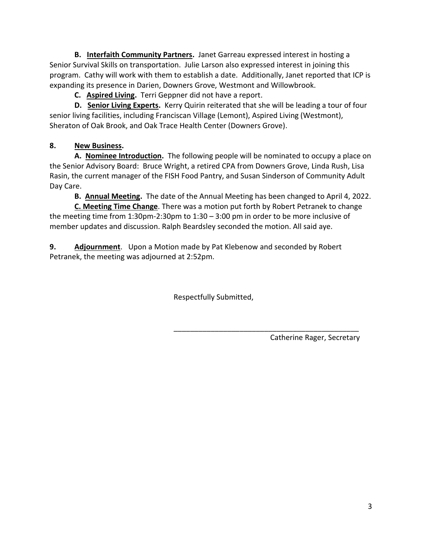**B. Interfaith Community Partners.** Janet Garreau expressed interest in hosting a Senior Survival Skills on transportation. Julie Larson also expressed interest in joining this program. Cathy will work with them to establish a date. Additionally, Janet reported that ICP is expanding its presence in Darien, Downers Grove, Westmont and Willowbrook.

**C. Aspired Living.** Terri Geppner did not have a report.

**D. Senior Living Experts.** Kerry Quirin reiterated that she will be leading a tour of four senior living facilities, including Franciscan Village (Lemont), Aspired Living (Westmont), Sheraton of Oak Brook, and Oak Trace Health Center (Downers Grove).

# **8. New Business.**

**A. Nominee Introduction.** The following people will be nominated to occupy a place on the Senior Advisory Board: Bruce Wright, a retired CPA from Downers Grove, Linda Rush, Lisa Rasin, the current manager of the FISH Food Pantry, and Susan Sinderson of Community Adult Day Care.

**B. Annual Meeting.** The date of the Annual Meeting has been changed to April 4, 2022.

**C. Meeting Time Change**. There was a motion put forth by Robert Petranek to change the meeting time from 1:30pm-2:30pm to 1:30 – 3:00 pm in order to be more inclusive of member updates and discussion. Ralph Beardsley seconded the motion. All said aye.

**9. Adjournment**. Upon a Motion made by Pat Klebenow and seconded by Robert Petranek, the meeting was adjourned at 2:52pm.

Respectfully Submitted,

Catherine Rager, Secretary

\_\_\_\_\_\_\_\_\_\_\_\_\_\_\_\_\_\_\_\_\_\_\_\_\_\_\_\_\_\_\_\_\_\_\_\_\_\_\_\_\_\_\_\_\_